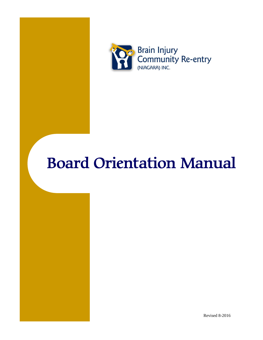

# **Board Orientation Manual**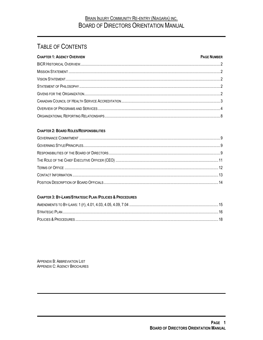# BRAIN INJURY COMMUNITY RE-ENTRY (NIAGARA) INC.<br>BOARD OF DIRECTORS ORIENTATION MANUAL

## TABLE OF CONTENTS

| <b>CHAPTER 1: AGENCY OVERVIEW</b> | <b>PAGE NUMBER</b> |
|-----------------------------------|--------------------|
|                                   |                    |
|                                   |                    |
|                                   |                    |
|                                   |                    |
|                                   |                    |
|                                   |                    |
|                                   |                    |
|                                   |                    |

## **CHAPTER 2: BOARD ROLES/RESPONSIBILITIES**

## **CHAPTER 3: BY-LAWS/STRATEGIC PLAN /POLICIES & PROCEDURES**

**APPENDIX B: ABBREVIATION LIST APPENDIX C: AGENCY BROCHURES**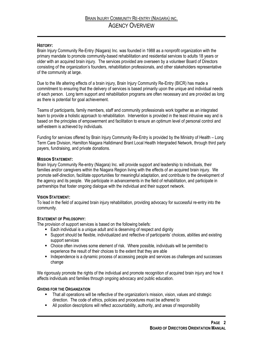## **HISTORY:**

Brain Injury Community Re-Entry (Niagara) Inc. was founded in 1988 as a nonprofit organization with the primary mandate to promote community-based rehabilitation and residential services to adults 18 years or older with an acquired brain injury. The services provided are overseen by a volunteer Board of Directors consisting of the organization's founders, rehabilitation professionals, and other stakeholders representative of the community at large.

Due to the life altering effects of a brain injury, Brain Injury Community Re-Entry (BICR) has made a commitment to ensuring that the delivery of services is based primarily upon the unique and individual needs of each person. Long term support and rehabilitation programs are often necessary and are provided as long as there is potential for goal achievement.

Teams of participants, family members, staff and community professionals work together as an integrated team to provide a holistic approach to rehabilitation. Intervention is provided in the least intrusive way and is based on the principles of empowerment and facilitation to ensure an optimum level of personal control and self-esteem is achieved by individuals.

Funding for services offered by Brain Injury Community Re-Entry is provided by the Ministry of Health – Long Term Care Division, Hamilton Niagara Halldimand Brant Local Health Intergraded Network, through third party payers, fundraising, and private donations.

## **MISSION STATEMENT:**

Brain Injury Community Re-entry (Niagara) Inc. will provide support and leadership to individuals, their families and/or caregivers within the Niagara Region living with the effects of an acquired brain injury. We promote self-direction, facilitate opportunities for meaningful adaptation, and contribute to the development of the agency and its people. We participate in advancements in the field of rehabilitation, and participate in partnerships that foster ongoing dialogue with the individual and their support network.

## **VISION STATEMENT:**

To lead in the field of acquired brain injury rehabilitation, providing advocacy for successful re-entry into the community.

## **STATEMENT OF PHILOSOPHY:**

The provision of support services is based on the following beliefs:

- Each individual is a unique adult and is deserving of respect and dignity
- Support should be flexible, individualized and reflective of participants' choices, abilities and existing support services
- Choice often involves some element of risk. Where possible, individuals will be permitted to experience the result of their choices to the extent that they are able
- **Independence is a dynamic process of accessing people and services as challenges and successes** change

We rigorously promote the rights of the individual and promote recognition of acquired brain injury and how it affects individuals and families through ongoing advocacy and public education.

## **GIVENS FOR THE ORGANIZATION**

- That all operations will be reflective of the organization's mission, vision, values and strategic direction. The code of ethics, policies and procedures must be adhered to
- All position descriptions will reflect accountability, authority, and areas of responsibility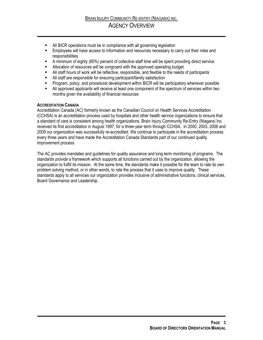- All BICR operations must be in compliance with all governing legislation
- **Employees will have access to information and resources necessary to carry out their roles and** responsibilities
- A minimum of eighty (80%) percent of collective staff time will be spent providing direct service.
- Allocation of resources will be congruent with the approved operating budget
- All staff hours of work will be reflective, responsible, and flexible to the needs of participants
- All staff are responsible for ensuring participant/family satisfaction
- Program, policy, and procedural development within BICR will be participatory whenever possible
- All approved applicants will receive at least one component of the spectrum of services within two months given the availability of financial resources

## **ACCREDITATION CANADA**

Accreditation Canada (AC) formerly known as the Canadian Council on Health Services Accreditation (CCHSA) is an accreditation process used by hospitals and other health service organizations to ensure that a standard of care is consistent among health organizations. Brain Injury Community Re-Entry (Niagara) Inc. received its first accreditation in August 1997, for a three-year term through CCHSA. In 2000, 2003, 2006 and 2009 our organization was successfully re-accredited. We continue to participate in the accreditation process every three years and have made the Accreditation Canada Standards part of our continued quality improvement process.

The AC provides mandates and guidelines for quality assurance and long-term monitoring of programs. The standards provide a framework which supports all functions carried out by the organization, allowing the organization to fulfill its mission. At the same time, the standards make it possible for the team to rate its own problem solving method, or in other words, to rate the process that it uses to improve quality. These standards apply to all services our organization provides inclusive of administrative functions, clinical services, Board Governance and Leadership.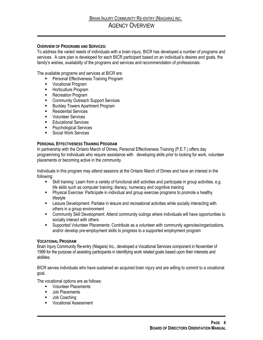## **OVERVIEW OF PROGRAMS AND SERVICES:**

To address the varied needs of individuals with a brain injury, BICR has developed a number of programs and services. A care plan is developed for each BICR participant based on an individual's desires and goals, the family's wishes, availability of the programs and services and recommendation of professionals.

The available programs and services at BICR are:

- **Personal Effectiveness Training Program**
- **Vocational Program**
- **Horticulture Program**
- **Recreation Program**
- **EXECOMMUNITY Outreach Support Services**
- **Buckley Towers Apartment Program**
- **Residential Services**
- **Volunteer Services**
- **Educational Services**
- **Psychological Services**
- Social Work Services

## **PERSONAL EFFECTIVENESS TRAINING PROGRAM**

In partnership with the Ontario March of Dimes, Personal Effectiveness Training (P.E.T.) offers day programming for individuals who require assistance with developing skills prior to looking for work, volunteer placements or becoming active in the community.

Individuals in this program may attend sessions at the Ontario March of Dimes and have an interest in the following:

- Skill training: Learn from a variety of functional skill activities and participate in group activities, e.g. life skills such as computer training; literacy, numeracy and cognitive training
- **Physical Exercise: Participate in individual and group exercise programs to promote a healthy** lifestyle
- Leisure Development: Partake in leisure and recreational activities while socially interacting with others in a group environment
- Community Skill Development: Attend community outings where individuals will have opportunities to socially interact with others
- Supported Volunteer Placements: Contribute as a volunteer with community agencies/organizations, and/or develop pre-employment skills to progress to a supported employment program

## **VOCATIONAL PROGRAM**

Brain Injury Community Re-entry (Niagara) Inc., developed a Vocational Services component in November of 1999 for the purpose of assisting participants in identifying work related goals based upon their interests and abilities.

BICR serves individuals who have sustained an acquired brain injury and are willing to commit to a vocational goal.

The vocational options are as follows:

- **Volunteer Placements**
- **Job Placements**
- **Job Coaching**
- **Vocational Assessment**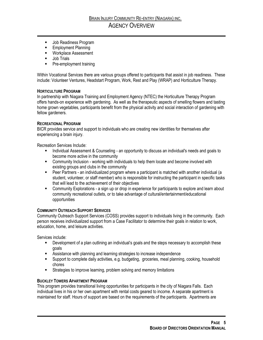- **Job Readiness Program**
- **Employment Planning**
- Workplace Assessment
- **Job Trials**
- **Pre-employment training**

Within Vocational Services there are various groups offered to participants that assist in job readiness. These include: Volunteer Ventures, Headstart Program, Work, Rest and Play (WRAP) and Horticulture Therapy.

## **HORTICULTURE PROGRAM**

In partnership with Niagara Training and Employment Agency (NTEC) the Horticulture Therapy Program offers hands-on experience with gardening. As well as the therapeutic aspects of smelling flowers and tasting home grown vegetables, participants benefit from the physical activity and social interaction of gardening with fellow gardeners.

## **RECREATIONAL PROGRAM**

BICR provides service and support to individuals who are creating new identities for themselves after experiencing a brain injury.

Recreation Services Include:

- **Individual Assessment & Counseling an opportunity to discuss an individual's needs and goals to** become more active in the community
- **EXECOMMUNITY Community Inclusion working with individuals to help them locate and become involved with** existing groups and clubs in the community
- **Peer Partners an individualized program where a participant is matched with another individual (a** student, volunteer, or staff member) who is responsible for instructing the participant in specific tasks that will lead to the achievement of their objectives
- **EXPLO THE EXPLORATION COMMOVE COMMOVE COMMOVER** Community Explore and learn about community recreational outlets, or to take advantage of cultural/entertainment/educational opportunities

## **COMMUNITY OUTREACH SUPPORT SERVICES**

Community Outreach Support Services (COSS) provides support to individuals living in the community. Each person receives individualized support from a Case Facilitator to determine their goals in relation to work, education, home, and leisure activities.

Services include:

- Development of a plan outlining an individual's goals and the steps necessary to accomplish these goals
- Assistance with planning and learning strategies to increase independence
- Support to complete daily activities, e.g. budgeting, groceries, meal planning, cooking, household chores
- Strategies to improve learning, problem solving and memory limitations

## **BUCKLEY TOWERS APARTMENT PROGRAM**

This program provides transitional living opportunities for participants in the city of Niagara Falls. Each individual lives in his or her own apartment with rental costs geared to income. A separate apartment is maintained for staff. Hours of support are based on the requirements of the participants. Apartments are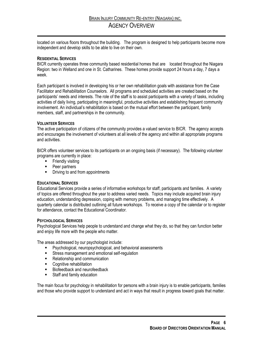located on various floors throughout the building. The program is designed to help participants become more independent and develop skills to be able to live on their own.

## **RESIDENTIAL SERVICES**

BICR currently operates three community based residential homes that are located throughout the Niagara Region: two in Welland and one in St. Catharines. These homes provide support 24 hours a day, 7 days a week.

Each participant is involved in developing his or her own rehabilitation goals with assistance from the Case Facilitator and Rehabilitation Counselors. All programs and scheduled activities are created based on the participants' needs and interests. The role of the staff is to assist participants with a variety of tasks, including activities of daily living, participating in meaningful, productive activities and establishing frequent community involvement. An individual's rehabilitation is based on the mutual effort between the participant, family members, staff, and partnerships in the community.

## **VOLUNTEER SERVICES**

The active participation of citizens of the community provides a valued service to BICR. The agency accepts and encourages the involvement of volunteers at all levels of the agency and within all appropriate programs and activities.

BICR offers volunteer services to its participants on an ongoing basis (if necessary). The following volunteer programs are currently in place:

- **Friendly visiting**
- Peer partners
- **•** Driving to and from appointments

## **EDUCATIONAL SERVICES**

Educational Services provide a series of informative workshops for staff, participants and families. A variety of topics are offered throughout the year to address varied needs. Topics may include acquired brain injury education, understanding depression, coping with memory problems, and managing time effectively. A quarterly calendar is distributed outlining all future workshops. To receive a copy of the calendar or to register for attendance, contact the Educational Coordinator.

## **PSYCHOLOGICAL SERVICES**

Psychological Services help people to understand and change what they do, so that they can function better and enjoy life more with the people who matter.

The areas addressed by our psychologist include:

- **Psychological, neuropsychological, and behavioral assessments**
- Stress management and emotional self-regulation
- **Relationship and communication**
- Cognitive rehabilitation
- **Biofeedback and neurofeedback**
- **Staff and family education**

The main focus for psychology in rehabilitation for persons with a brain injury is to enable participants, families and those who provide support to understand and act in ways that result in progress toward goals that matter.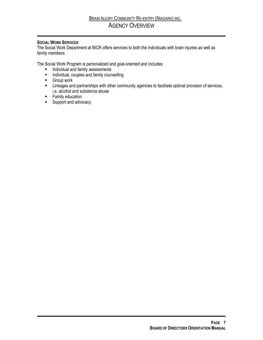## **SOCIAL WORK SERVICES**

The Social Work Department at BICR offers services to both the individuals with brain injuries as well as family members.

The Social Work Program is personalized and goal-oriented and includes:

- **Individual and family assessments**
- **Individual, couples and family counselling**
- **Group work**
- **EXECT:** Linkages and partnerships with other community agencies to facilitate optimal provision of services, i.e. alcohol and substance abuse
- **Family education**
- Support and advocacy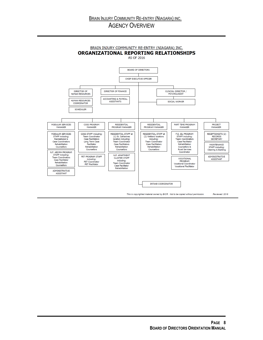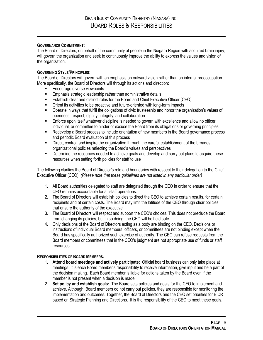## **GOVERNANCE COMMITMENT:**

The Board of Directors, on behalf of the community of people in the Niagara Region with acquired brain injury, will govern the organization and seek to continuously improve the ability to express the values and vision of the organization.

## **GOVERNING STYLE/PRINCIPLES:**

The Board of Directors will govern with an emphasis on outward vision rather than on internal preoccupation. More specifically, the Board of Directors will through its actions and direction:

- Encourage diverse viewpoints
- **Emphasis strategic leadership rather than administrative details**
- Establish clear and distinct roles for the Board and Chief Executive Officer (CEO)
- Orient its activities to be proactive and future-oriented with long-term impacts
- Operate in ways that fulfill the obligations of civic trusteeship and honor the organization's values of openness, respect, dignity, integrity, and collaboration
- **Enforce upon itself whatever discipline is needed to govern with excellence and allow no officer,** individual, or committee to hinder or excuse the Board from its obligations or governing principles
- Redevelop a Board process to include orientation of new members in the Board governance process and periodic Board evaluation of this process
- **EXECT** Direct, control, and inspire the organization through the careful establishment of the broadest organizational policies reflecting the Board's values and perspectives
- **•** Determine the resources needed to achieve goals and develop and carry out plans to acquire these resources when setting forth policies for staff to use

The following clarifies the Board of Director's role and boundaries with respect to their delegation to the Chief Executive Officer (CEO): *(Please note that these guidelines are not listed in any particular order)*

- 1. All Board authorities delegated to staff are delegated through the CEO in order to ensure that the CEO remains accountable for all staff operations.
- 2. The Board of Directors will establish policies to direct the CEO to achieve certain results, for certain recipients and at certain costs. The Board may limit the latitude of the CEO through clear policies that ensure the authority of the executive.
- 3. The Board of Directors will respect and support the CEO's choices. This does not preclude the Board from changing its policies, but in so doing, the CEO will be held safe.
- 4. Only decisions of the Board of Directors acting as a body are binding on the CEO. Decisions or instructions of individual Board members, officers, or committees are not binding except when the Board has specifically authorized such exercise of authority. The CEO can refuse requests from the Board members or committees that in the CEO's judgment are not appropriate use of funds or staff resources.

## **RESPONSIBILITIES OF BOARD MEMBERS:**

- 1. **Attend board meetings and actively participate:** Official board business can only take place at meetings. It is each Board member's responsibility to receive information, give input and be a part of the decision making. Each Board member is liable for actions taken by the Board even if the member is not present when a decision is made.
- 2. **Set policy and establish goals:** The Board sets policies and goals for the CEO to implement and achieve. Although, Board members do not carry out policies, they are responsible for monitoring the implementation and outcomes. Together, the Board of Directors and the CEO set priorities for BICR based on Strategic Planning and Directions. It is the responsibility of the CEO to meet these goals.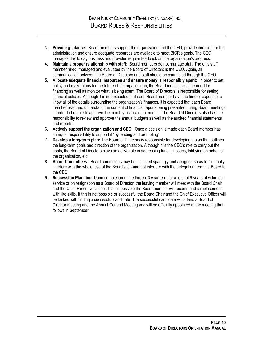- 3. **Provide guidance:** Board members support the organization and the CEO, provide direction for the administration and ensure adequate resources are available to meet BICR's goals. The CEO manages day to day business and provides regular feedback on the organization's progress.
- 4. **Maintain a proper relationship with staff:** Board members do not manage staff. The only staff member hired, managed and evaluated by the Board of Directors is the CEO. Again, all communication between the Board of Directors and staff should be channeled through the CEO.
- 5. **Allocate adequate financial resources and ensure money is responsibly spent:** In order to set policy and make plans for the future of the organization, the Board must assess the need for financing as well as monitor what is being spent. The Board of Directors is responsible for setting financial policies. Although it is not expected that each Board member have the time or expertise to know all of the details surrounding the organization's finances, it is expected that each Board member read and understand the content of financial reports being presented during Board meetings in order to be able to approve the monthly financial statements. The Board of Directors also has the responsibility to review and approve the annual budgets as well as the audited financial statements and reports.
- 6. **Actively support the organization and CEO:** Once a decision is made each Board member has an equal responsibility to support it "by leading and promoting".
- 7. **Develop a long-term plan:** The Board of Directors is responsible for developing a plan that outlines the long-term goals and direction of the organization. Although it is the CEO's role to carry out the goals, the Board of Directors plays an active role in addressing funding issues, lobbying on behalf of the organization, etc.
- 8. **Board Committees:** Board committees may be instituted sparingly and assigned so as to minimally interfere with the wholeness of the Board's job and not interfere with the delegation from the Board to the CEO.
- 9. **Succession Planning:** Upon completion of the three x 3 year term for a total of 9 years of volunteer service or on resignation as a Board of Director, the leaving member will meet with the Board Chair and the Chief Executive Officer. If at all possible the Board member will recommend a replacement with like skills. If this is not possible or successful the Board Chair and the Chief Executive Officer will be tasked with finding a successful candidate. The successful candidate will attend a Board of Director meeting and the Annual General Meeting and will be officially appointed at the meeting that follows in September.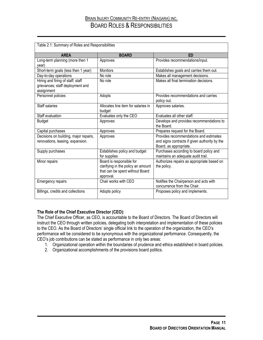## BRAIN INJURY COMMUNITY RE-ENTRY (NIAGARA) INC. BOARD ROLES & RESPONSIBILITIES

| Table 2.1: Summary of Roles and Responsibilities                                    |                                                                                                                |                                                                                                                   |  |
|-------------------------------------------------------------------------------------|----------------------------------------------------------------------------------------------------------------|-------------------------------------------------------------------------------------------------------------------|--|
| <b>AREA</b>                                                                         | <b>BOARD</b>                                                                                                   | <b>ED</b>                                                                                                         |  |
| Long-term planning (more then 1<br>year)                                            | Approves                                                                                                       | Provides recommendations/input.                                                                                   |  |
| Short-term goals (less then 1 year)                                                 | <b>Monitors</b>                                                                                                | Establishes goals and carries them out.                                                                           |  |
| Day-to-day operations                                                               | No role                                                                                                        | Makes all management decisions.                                                                                   |  |
| Hiring and firing of staff; staff<br>grievances; staff deployment and<br>assignment | No role                                                                                                        | Makes all final termination decisions.                                                                            |  |
| Personnel policies                                                                  | Adopts                                                                                                         | Provides recommendations and carries<br>policy out.                                                               |  |
| Staff salaries                                                                      | Allocates line item for salaries in<br>budget                                                                  | Approves salaries.                                                                                                |  |
| Staff evaluation                                                                    | Evaluates only the CEO                                                                                         | Evaluates all other staff.                                                                                        |  |
| <b>Budget</b>                                                                       | Approves                                                                                                       | Develops and provides recommendations to<br>the Board.                                                            |  |
| Capital purchases                                                                   | Approves                                                                                                       | Prepares request for the Board.                                                                                   |  |
| Decisions on building, major repairs,<br>renovations, leasing, expansion.           | Approves                                                                                                       | Provides recommendations and estimates<br>and signs contracts if given authority by the<br>Board, as appropriate. |  |
| Supply purchases                                                                    | Establishes policy and budget<br>for supplies                                                                  | Purchases according to board policy and<br>maintains an adequate audit trail.                                     |  |
| Minor repairs                                                                       | Board is responsible for<br>clarifying in the policy an amount<br>that can be spent without Board<br>approval. | Authorizes repairs as appropriate based on<br>the policy.                                                         |  |
| <b>Emergency repairs</b>                                                            | Chair works with CEO                                                                                           | Notifies the Chairperson and acts with<br>concurrence from the Chair.                                             |  |
| Billings, credits and collections                                                   | Adopts policy                                                                                                  | Proposes policy and implements.                                                                                   |  |

## **The Role of the Chief Executive Director (CEO):**

The Chief Executive Officer, as CEO, is accountable to the Board of Directors. The Board of Directors will instruct the CEO through written policies, delegating both interpretation and implementation of these policies to the CEO. As the Board of Directors' single official link to the operation of the organization, the CEO's performance will be considered to be synonymous with the organizational performance. Consequently, the CEO's job contributions can be stated as performance in only two areas:

- 1. Organizational operation within the boundaries of prudence and ethics established in board policies.
- 2. Organizational accomplishments of the provisions board politics.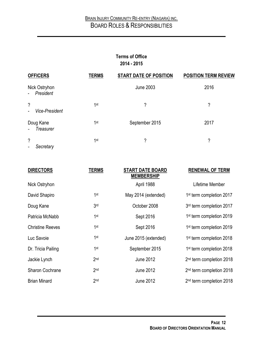**Terms of Office 2014 - 2015**

| <b>OFFICERS</b>                                               | <b>TERMS</b>    | <b>START DATE OF POSITION</b> | <b>POSITION TERM REVIEW</b> |
|---------------------------------------------------------------|-----------------|-------------------------------|-----------------------------|
| Nick Ostryhon<br>President                                    |                 | <b>June 2003</b>              | 2016                        |
| $\gamma$<br><b>Vice-President</b><br>$\overline{\phantom{a}}$ | 1st             | ?                             | ?                           |
| Doug Kane<br>Treasurer                                        | 1 <sup>st</sup> | September 2015                | 2017                        |
| $\gamma$<br>Secretary                                         | 1 <sup>st</sup> | ?                             | ?                           |

| <b>DIRECTORS</b>        | <b>TERMS</b>    | <b>START DATE BOARD</b><br><b>MEMBERSHIP</b> | <b>RENEWAL OF TERM</b>               |
|-------------------------|-----------------|----------------------------------------------|--------------------------------------|
| Nick Ostryhon           |                 | April 1988                                   | Lifetime Member                      |
| David Shapiro           | 1 <sup>st</sup> | May 2014 (extended)                          | 1 <sup>st</sup> term completion 2017 |
| Doug Kane               | 3 <sub>rd</sub> | October 2008                                 | 3rd term completion 2017             |
| Patricia McNabb         | 1 <sup>st</sup> | Sept 2016                                    | 1 <sup>st</sup> term completion 2019 |
| <b>Christine Reeves</b> | 1 <sup>st</sup> | Sept 2016                                    | 1 <sup>st</sup> term completion 2019 |
| Luc Savoie              | 1 <sup>st</sup> | June 2015 (extended)                         | 1 <sup>st</sup> term completion 2018 |
| Dr. Tricia Pailing      | 1 <sup>st</sup> | September 2015                               | 1 <sup>st</sup> term completion 2018 |
| Jackie Lynch            | 2 <sub>nd</sub> | <b>June 2012</b>                             | 2 <sup>nd</sup> term completion 2018 |
| <b>Sharon Cochrane</b>  | 2 <sub>nd</sub> | <b>June 2012</b>                             | 2 <sup>nd</sup> term completion 2018 |
| <b>Brian Minard</b>     | 2 <sub>nd</sub> | <b>June 2012</b>                             | 2 <sup>nd</sup> term completion 2018 |
|                         |                 |                                              |                                      |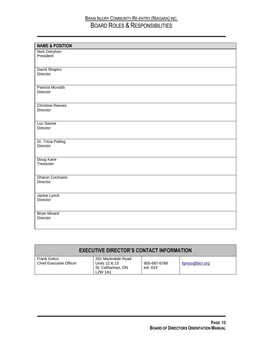## **BRAIN INJURY COMMUNITY RE-ENTRY (NIAGARA) INC.** BOARD ROLES & RESPONSIBILITIES

| <b>NAME &amp; POSITION</b> |
|----------------------------|
| Nick Ostryhon              |
| President                  |
|                            |
|                            |
| David Shapiro              |
| Director                   |
|                            |
|                            |
| Patricia Mcnabb            |
| Director                   |
|                            |
|                            |
| <b>Christine Reeves</b>    |
| Director                   |
|                            |
|                            |
| Luc Savoie                 |
| Director                   |
|                            |
|                            |
| Dr. Tricia Pailing         |
| Director                   |
|                            |
|                            |
| Doug Kane                  |
| Treasurer                  |
|                            |
|                            |
| Sharon Cochrane            |
| Director                   |
|                            |
|                            |
| Jackie Lynch               |
| Director                   |
|                            |
|                            |
| <b>Brian Minard</b>        |
| Director                   |
|                            |
|                            |

| <b>EXECUTIVE DIRECTOR'S CONTACT INFORMATION</b> |                                                                       |                          |                 |
|-------------------------------------------------|-----------------------------------------------------------------------|--------------------------|-----------------|
| Frank Greco<br><b>Chief Executive Officer</b>   | 261 Martindale Road<br>Units 12 & 13<br>St. Catharines, ON<br>L2W 1A1 | 905-687-6788<br>ext. 624 | fgreco@bicr.org |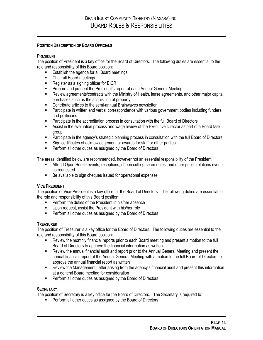## **POSITION DESCRIPTION OF BOARD OFFICIALS**

## **PRESIDENT**

The position of President is a key office for the Board of Directors. The following duties are essential to the role and responsibility of this Board position:

- **Establish the agenda for all Board meetings**
- Chair all Board meetings
- **Register as a signing officer for BICR**
- **Prepare and present the President's report at each Annual General Meeting**
- Review agreements/contracts with the Ministry of Health, lease agreements, and other major capital purchases such as the acquisition of property
- **EXECONTRIBUTE:** Contribute articles to the semi-annual Brainwaves newsletter
- **Participate in written and verbal correspondence with various government bodies including funders,** and politicians
- **Participate in the accreditation process in consultation with the full Board of Directors**
- Assist in the evaluation process and wage review of the Executive Director as part of a Board task group
- **Participate in the agency's strategic planning process in consultation with the full Board of Directors.**
- **Sign certificates of acknowledgement or awards for staff or other parties**
- **Perform all other duties as assigned by the Board of Directors**

The areas identified below are recommended, however not an essential responsibility of the President:

- Attend Open House events, receptions, ribbon cutting ceremonies, and other public relations events as requested
- Be available to sign cheques issued for operational expenses

## **VICE PRESIDENT**

The position of Vice-President is a key office for the Board of Directors. The following duties are essential to the role and responsibility of this Board position:

- **Perform the duties of the President in his/her absence**
- Upon request, assist the President with his/her role
- **Perform all other duties as assigned by the Board of Directors**

## **TREASURER**

The position of Treasurer is a key office for the Board of Directors. The following duties are essential to the role and responsibility of this Board position:

- Review the monthly financial reports prior to each Board meeting and present a motion to the full Board of Directors to approve the financial information as written
- Review the annual financial audit and report prior to the Annual General Meeting and present the annual financial report at the Annual General Meeting with a motion to the full Board of Directors to approve the annual financial report as written
- Review the Management Letter arising from the agency's financial audit and present this information at a general Board meeting for consideration
- **Perform all other duties as assigned by the Board of Directors**

## **SECRETARY**

The position of Secretary is a key office for the Board of Directors. The Secretary is required to:

**Perform all other duties as assigned by the Board of Directors**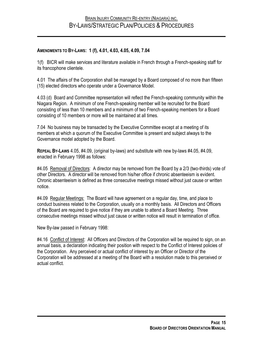## **AMENDMENTS TO BY-LAWS: 1 (f), 4.01, 4.03, 4.05, 4.09, 7.04**

1(f) BICR will make services and literature available in French through a French-speaking staff for its francophone clientele.

4.01 The affairs of the Corporation shall be managed by a Board composed of no more than fifteen (15) elected directors who operate under a Governance Model.

4.03 (d) Board and Committee representation will reflect the French-speaking community within the Niagara Region. A minimum of one French-speaking member will be recruited for the Board consisting of less than 10 members and a minimum of two French-speaking members for a Board consisting of 10 members or more will be maintained at all times.

7.04 No business may be transacted by the Executive Committee except at a meeting of its members at which a quorum of the Executive Committee is present and subject always to the Governance model adopted by the Board.

**REPEAL BY-LAWS** 4.05, #4.09, (original by-laws) and substitute with new by-laws #4.05, #4.09, enacted in February 1998 as follows:

#4.05 Removal of Directors: A director may be removed from the Board by a 2/3 (two-thirds) vote of other Directors. A director will be removed from his/her office if chronic absenteeism is evident. Chronic absenteeism is defined as three consecutive meetings missed without just cause or written notice.

#4.09 Regular Meetings: The Board will have agreement on a regular day, time, and place to conduct business related to the Corporation, usually on a monthly basis. All Directors and Officers of the Board are required to give notice if they are unable to attend a Board Meeting. Three consecutive meetings missed without just cause or written notice will result in termination of office.

New By-law passed in February 1998:

#4.16 Conflict of Interest: All Officers and Directors of the Corporation will be required to sign, on an annual basis, a declaration indicating their position with respect to the Conflict of Interest policies of the Corporation. Any perceived or actual conflict of interest by an Officer or Director of the Corporation will be addressed at a meeting of the Board with a resolution made to this perceived or actual conflict.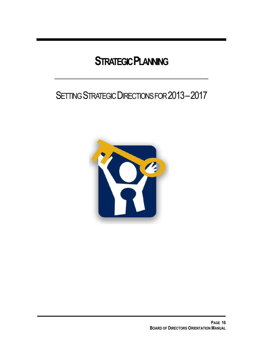## **STRATEGIC PLANNING**

## SETTING STRATEGIC DIRECTIONS FOR 2013–2017

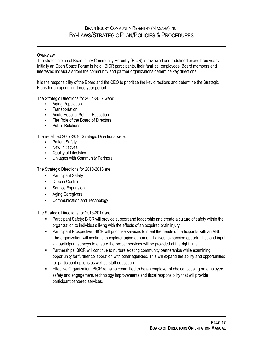## BRAIN INJURY COMMUNITY RE-ENTRY (NIAGARA) INC. BY-LAWS/STRATEGIC PLAN/POLICIES & PROCEDURES

## **OVERVIEW**

The strategic plan of Brain Injury Community Re-entry (BICR) is reviewed and redefined every three years. Initially an Open Space Forum is held. BICR participants, their families, employees, Board members and interested individuals from the community and partner organizations determine key directions.

It is the responsibility of the Board and the CEO to prioritize the key directions and determine the Strategic Plans for an upcoming three year period.

The Strategic Directions for 2004-2007 were:

- Aging Population
- **Transportation**
- **Acute Hospital Setting Education**
- **The Role of the Board of Directors**
- **Public Relations**

The redefined 2007-2010 Strategic Directions were:

- Patient Safety
- New Initiatives
- Quality of Lifestyles
- **-** Linkages with Community Partners

The Strategic Directions for 2010-2013 are:

- Participant Safety
- **-** Drop in Centre
- **Service Expansion**
- **Aging Caregivers**
- **-** Communication and Technology

The Strategic Directions for 2013-2017 are:

- Participant Safety: BICR will provide support and leadership and create a culture of safety within the organization to individuals living with the effects of an acquired brain injury.
- Participant Prospective: BICR will prioritize services to meet the needs of participants with an ABI. The organization will continue to explore: aging at home initiatives, expansion opportunities and input via participant surveys to ensure the proper services will be provided at the right time.
- **•** Partnerships: BICR will continue to nurture existing community partnerships while examining opportunity for further collaboration with other agencies. This will expand the ability and opportunities for participant options as well as staff education.
- Effective Organization: BICR remains committed to be an employer of choice focusing on employee safety and engagement, technology improvements and fiscal responsibility that will provide participant centered services.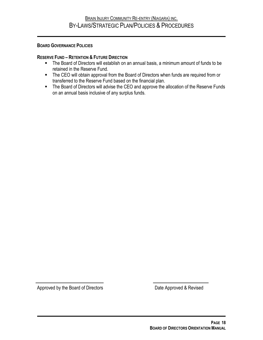## **RESERVE FUND – RETENTION & FUTURE DIRECTION**

- **The Board of Directors will establish on an annual basis, a minimum amount of funds to be** retained in the Reserve Fund.
- **The CEO will obtain approval from the Board of Directors when funds are required from or** transferred to the Reserve Fund based on the financial plan.
- The Board of Directors will advise the CEO and approve the allocation of the Reserve Funds on an annual basis inclusive of any surplus funds.

Approved by the Board of Directors **Date Approved & Revised**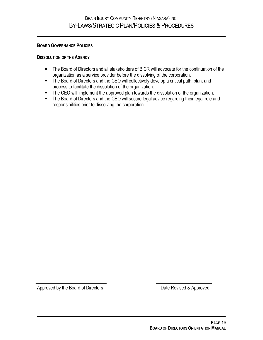## **DISSOLUTION OF THE AGENCY**

- The Board of Directors and all stakeholders of BICR will advocate for the continuation of the organization as a service provider before the dissolving of the corporation.
- The Board of Directors and the CEO will collectively develop a critical path, plan, and process to facilitate the dissolution of the organization.
- The CEO will implement the approved plan towards the dissolution of the organization.
- The Board of Directors and the CEO will secure legal advice regarding their legal role and responsibilities prior to dissolving the corporation.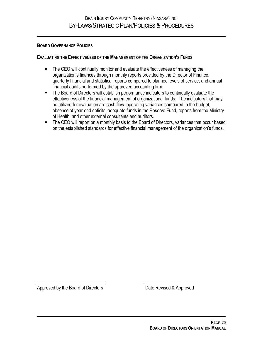## **EVALUATING THE EFFECTIVENESS OF THE MANAGEMENT OF THE ORGANIZATION'S FUNDS**

- The CEO will continually monitor and evaluate the effectiveness of managing the organization's finances through monthly reports provided by the Director of Finance, quarterly financial and statistical reports compared to planned levels of service, and annual financial audits performed by the approved accounting firm.
- **The Board of Directors will establish performance indicators to continually evaluate the** effectiveness of the financial management of organizational funds. The indicators that may be utilized for evaluation are cash flow, operating variances compared to the budget, absence of year-end deficits, adequate funds in the Reserve Fund, reports from the Ministry of Health, and other external consultants and auditors.
- The CEO will report on a monthly basis to the Board of Directors, variances that occur based on the established standards for effective financial management of the organization's funds.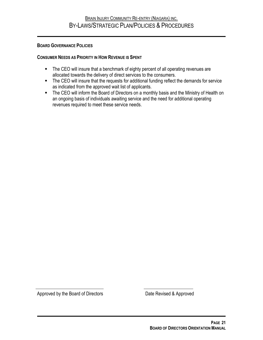## **CONSUMER NEEDS AS PRIORITY IN HOW REVENUE IS SPENT**

- The CEO will insure that a benchmark of eighty percent of all operating revenues are allocated towards the delivery of direct services to the consumers.
- The CEO will insure that the requests for additional funding reflect the demands for service as indicated from the approved wait list of applicants.
- The CEO will inform the Board of Directors on a monthly basis and the Ministry of Health on an ongoing basis of individuals awaiting service and the need for additional operating revenues required to meet these service needs.